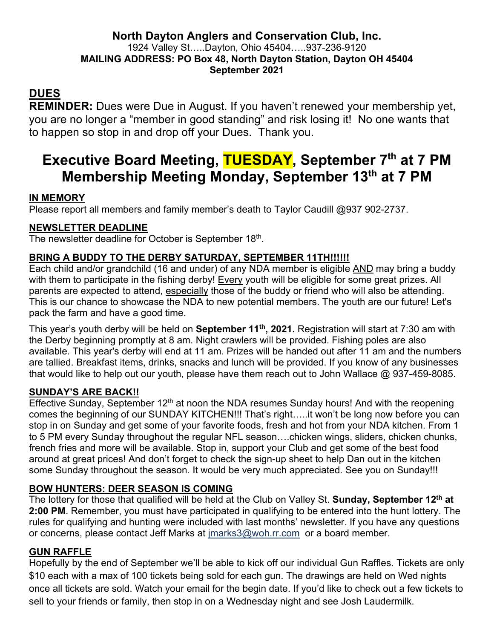#### **North Dayton Anglers and Conservation Club, Inc.** 1924 Valley St…..Dayton, Ohio 45404…..937-236-9120 **MAILING ADDRESS: PO Box 48, North Dayton Station, Dayton OH 45404 September 2021**

## **DUES**

**REMINDER:** Dues were Due in August. If you haven't renewed your membership yet, you are no longer a "member in good standing" and risk losing it! No one wants that to happen so stop in and drop off your Dues. Thank you.

# **Executive Board Meeting, TUESDAY, September 7th at 7 PM Membership Meeting Monday, September 13th at 7 PM**

#### **IN MEMORY**

Please report all members and family member's death to Taylor Caudill @937 902-2737.

#### **NEWSLETTER DEADLINE**

The newsletter deadline for October is September 18<sup>th</sup>.

#### **BRING A BUDDY TO THE DERBY SATURDAY, SEPTEMBER 11TH!!!!!!**

Each child and/or grandchild (16 and under) of any NDA member is eligible AND may bring a buddy with them to participate in the fishing derby! Every youth will be eligible for some great prizes. All parents are expected to attend, especially those of the buddy or friend who will also be attending. This is our chance to showcase the NDA to new potential members. The youth are our future! Let's pack the farm and have a good time.

This year's youth derby will be held on **September 11th, 2021.** Registration will start at 7:30 am with the Derby beginning promptly at 8 am. Night crawlers will be provided. Fishing poles are also available. This year's derby will end at 11 am. Prizes will be handed out after 11 am and the numbers are tallied. Breakfast items, drinks, snacks and lunch will be provided. If you know of any businesses that would like to help out our youth, please have them reach out to John Wallace @ 937-459-8085.

#### **SUNDAY'S ARE BACK!!**

Effective Sunday, September  $12<sup>th</sup>$  at noon the NDA resumes Sunday hours! And with the reopening comes the beginning of our SUNDAY KITCHEN!!! That's right…..it won't be long now before you can stop in on Sunday and get some of your favorite foods, fresh and hot from your NDA kitchen. From 1 to 5 PM every Sunday throughout the regular NFL season….chicken wings, sliders, chicken chunks, french fries and more will be available. Stop in, support your Club and get some of the best food around at great prices! And don't forget to check the sign-up sheet to help Dan out in the kitchen some Sunday throughout the season. It would be very much appreciated. See you on Sunday!!!

#### **BOW HUNTERS: DEER SEASON IS COMING**

The lottery for those that qualified will be held at the Club on Valley St. **Sunday, September 12th at 2:00 PM**. Remember, you must have participated in qualifying to be entered into the hunt lottery. The rules for qualifying and hunting were included with last months' newsletter. If you have any questions or concerns, please contact Jeff Marks at jmarks3@woh.rr.com or a board member.

#### **GUN RAFFLE**

Hopefully by the end of September we'll be able to kick off our individual Gun Raffles. Tickets are only \$10 each with a max of 100 tickets being sold for each gun. The drawings are held on Wed nights once all tickets are sold. Watch your email for the begin date. If you'd like to check out a few tickets to sell to your friends or family, then stop in on a Wednesday night and see Josh Laudermilk.